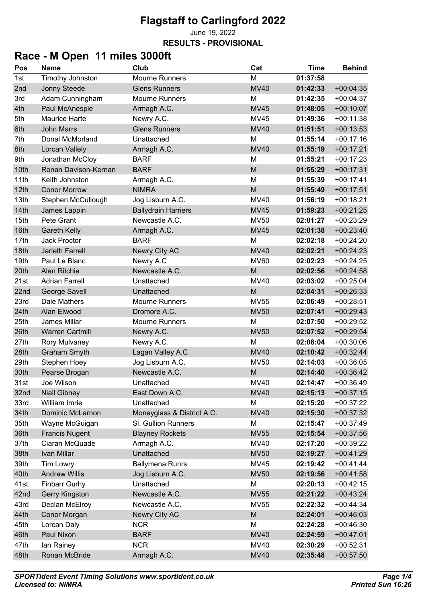June 19, 2022

**RESULTS - PROVISIONAL**

# **Race - M Open 11 miles 3000ft**

| Pos  | <b>Name</b>             | Club                       | Cat         | <b>Time</b> | <b>Behind</b> |
|------|-------------------------|----------------------------|-------------|-------------|---------------|
| 1st  | <b>Timothy Johnston</b> | <b>Mourne Runners</b>      | M           | 01:37:58    |               |
| 2nd  | Jonny Steede            | <b>Glens Runners</b>       | <b>MV40</b> | 01:42:33    | $+00:04:35$   |
| 3rd  | Adam Cunningham         | <b>Mourne Runners</b>      | M           | 01:42:35    | $+00:04:37$   |
| 4th  | Paul McAnespie          | Armagh A.C.                | <b>MV45</b> | 01:48:05    | $+00:10:07$   |
| 5th  | <b>Maurice Harte</b>    | Newry A.C.                 | <b>MV45</b> | 01:49:36    | $+00:11:38$   |
| 6th  | <b>John Marrs</b>       | <b>Glens Runners</b>       | <b>MV40</b> | 01:51:51    | $+00:13:53$   |
| 7th  | Donal McMorland         | Unattached                 | M           | 01:55:14    | $+00:17:16$   |
| 8th  | Lorcan Vallely          | Armagh A.C.                | <b>MV40</b> | 01:55:19    | $+00:17:21$   |
| 9th  | Jonathan McCloy         | <b>BARF</b>                | M           | 01:55:21    | $+00:17:23$   |
| 10th | Ronan Davison-Kernan    | <b>BARF</b>                | M           | 01:55:29    | $+00:17:31$   |
| 11th | Keith Johnston          | Armagh A.C.                | M           | 01:55:39    | $+00:17:41$   |
| 12th | <b>Conor Morrow</b>     | <b>NIMRA</b>               | M           | 01:55:49    | $+00:17:51$   |
| 13th | Stephen McCullough      | Jog Lisburn A.C.           | <b>MV40</b> | 01:56:19    | $+00:18:21$   |
| 14th | James Lappin            | <b>Ballydrain Harriers</b> | <b>MV45</b> | 01:59:23    | $+00:21:25$   |
| 15th | Pete Grant              | Newcastle A.C.             | <b>MV50</b> | 02:01:27    | $+00:23:29$   |
| 16th | <b>Gareth Kelly</b>     | Armagh A.C.                | <b>MV45</b> | 02:01:38    | $+00:23:40$   |
| 17th | <b>Jack Proctor</b>     | <b>BARF</b>                | M           | 02:02:18    | $+00:24:20$   |
| 18th | Jarleth Farrell         | Newry City AC              | <b>MV40</b> | 02:02:21    | $+00:24:23$   |
| 19th | Paul Le Blanc           | Newry A.C                  | <b>MV60</b> | 02:02:23    | $+00:24:25$   |
| 20th | <b>Alan Ritchie</b>     | Newcastle A.C.             | M           | 02:02:56    | $+00:24:58$   |
| 21st | <b>Adrian Farrell</b>   | Unattached                 | <b>MV40</b> | 02:03:02    | $+00:25:04$   |
| 22nd | George Savell           | Unattached                 | M           | 02:04:31    | $+00:26:33$   |
| 23rd | Dale Mathers            | <b>Mourne Runners</b>      | <b>MV55</b> | 02:06:49    | $+00:28:51$   |
| 24th | Alan Elwood             | Dromore A.C.               | <b>MV50</b> | 02:07:41    | $+00:29:43$   |
| 25th | James Millar            | <b>Mourne Runners</b>      | M           | 02:07:50    | $+00:29:52$   |
| 26th | <b>Warren Cartmill</b>  | Newry A.C.                 | <b>MV50</b> | 02:07:52    | $+00:29:54$   |
| 27th | Rory Mulvaney           | Newry A.C.                 | M           | 02:08:04    | $+00:30:06$   |
| 28th | <b>Graham Smyth</b>     | Lagan Valley A.C.          | <b>MV40</b> | 02:10:42    | $+00:32:44$   |
| 29th | Stephen Hoey            | Jog Lisburn A.C.           | <b>MV50</b> | 02:14:03    | $+00:36:05$   |
| 30th | Pearse Brogan           | Newcastle A.C.             | M           | 02:14:40    | $+00:36:42$   |
| 31st | Joe Wilson              | Unattached                 | MV40        | 02:14:47    | $+00:36:49$   |
| 32nd | <b>Niall Gibney</b>     | East Down A.C.             | <b>MV40</b> | 02:15:13    | $+00:37:15$   |
| 33rd | William Imrie           | Unattached                 | M           | 02:15:20    | $+00:37:22$   |
| 34th | <b>Dominic McLarnon</b> | Moneyglass & District A.C. | <b>MV40</b> | 02:15:30    | $+00:37:32$   |
| 35th | Wayne McGuigan          | SI. Gullion Runners        | M           | 02:15:47    | $+00:37:49$   |
| 36th | <b>Francis Nugent</b>   | <b>Blayney Rockets</b>     | <b>MV55</b> | 02:15:54    | $+00:37:56$   |
| 37th | Ciaran McQuade          | Armagh A.C.                | <b>MV40</b> | 02:17:20    | $+00:39:22$   |
| 38th | Ivan Millar             | Unattached                 | <b>MV50</b> | 02:19:27    | $+00:41:29$   |
| 39th | Tim Lowry               | <b>Ballymena Runrs</b>     | MV45        | 02:19:42    | $+00:41:44$   |
| 40th | <b>Andrew Willis</b>    | Jog Lisburn A.C.           | <b>MV50</b> | 02:19:56    | $+00:41:58$   |
| 41st | <b>Finbarr Gurhy</b>    | Unattached                 | M           | 02:20:13    | $+00:42:15$   |
| 42nd | Gerry Kingston          | Newcastle A.C.             | <b>MV55</b> | 02:21:22    | $+00:43:24$   |
| 43rd | Declan McElroy          | Newcastle A.C.             | <b>MV55</b> | 02:22:32    | $+00:44:34$   |
| 44th | Conor Morgan            | Newry City AC              | M           | 02:24:01    | $+00:46:03$   |
| 45th | Lorcan Daly             | <b>NCR</b>                 | M           | 02:24:28    | $+00:46:30$   |
| 46th | Paul Nixon              | <b>BARF</b>                | <b>MV40</b> | 02:24:59    | $+00:47:01$   |
| 47th | lan Rainey              | <b>NCR</b>                 | MV40        | 02:30:29    | $+00:52:31$   |
| 48th | Ronan McBride           | Armagh A.C.                | <b>MV40</b> | 02:35:48    | $+00:57:50$   |
|      |                         |                            |             |             |               |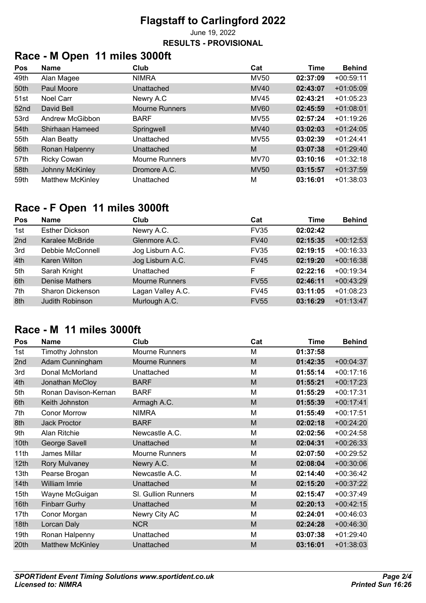June 19, 2022

#### **RESULTS - PROVISIONAL**

# **Race - M Open 11 miles 3000ft**

| Pos              | <b>Name</b>             | Club                  | Cat         | <b>Time</b> | <b>Behind</b> |
|------------------|-------------------------|-----------------------|-------------|-------------|---------------|
| 49th             | Alan Magee              | <b>NIMRA</b>          | <b>MV50</b> | 02:37:09    | $+00:59:11$   |
| 50th             | Paul Moore              | Unattached            | <b>MV40</b> | 02:43:07    | $+01:05:09$   |
| 51st             | Noel Carr               | Newry A.C             | MV45        | 02:43:21    | $+01:05:23$   |
| 52 <sub>nd</sub> | David Bell              | <b>Mourne Runners</b> | <b>MV60</b> | 02:45:59    | $+01:08:01$   |
| 53rd             | Andrew McGibbon         | <b>BARF</b>           | <b>MV55</b> | 02:57:24    | $+01:19:26$   |
| 54th             | Shirhaan Hameed         | Springwell            | <b>MV40</b> | 03:02:03    | $+01:24:05$   |
| 55th             | Alan Beatty             | Unattached            | <b>MV55</b> | 03:02:39    | $+01:24:41$   |
| 56th             | Ronan Halpenny          | Unattached            | M           | 03:07:38    | $+01:29:40$   |
| 57th             | <b>Ricky Cowan</b>      | <b>Mourne Runners</b> | <b>MV70</b> | 03:10:16    | $+01:32:18$   |
| 58th             | Johnny McKinley         | Dromore A.C.          | <b>MV50</b> | 03:15:57    | $+01:37:59$   |
| 59th             | <b>Matthew McKinley</b> | Unattached            | М           | 03:16:01    | $+01:38:03$   |

# **Race - F Open 11 miles 3000ft**

| Pos | <b>Name</b>           | Club                  | Cat         | Time     | <b>Behind</b> |
|-----|-----------------------|-----------------------|-------------|----------|---------------|
| 1st | <b>Esther Dickson</b> | Newry A.C.            | <b>FV35</b> | 02:02:42 |               |
| 2nd | Karalee McBride       | Glenmore A.C.         | <b>FV40</b> | 02:15:35 | $+00:12:53$   |
| 3rd | Debbie McConnell      | Jog Lisburn A.C.      | <b>FV35</b> | 02:19:15 | $+00:16:33$   |
| 4th | Karen Wilton          | Jog Lisburn A.C.      | <b>FV45</b> | 02:19:20 | $+00:16:38$   |
| 5th | Sarah Knight          | Unattached            | F           | 02:22:16 | $+00:19:34$   |
| 6th | <b>Denise Mathers</b> | <b>Mourne Runners</b> | <b>FV55</b> | 02:46:11 | $+00:43:29$   |
| 7th | Sharon Dickenson      | Lagan Valley A.C.     | <b>FV45</b> | 03:11:05 | $+01:08:23$   |
| 8th | Judith Robinson       | Murlough A.C.         | <b>FV55</b> | 03:16:29 | $+01:13:47$   |

### **Race - M 11 miles 3000ft**

| Pos              | <b>Name</b>             | Club                  | Cat | <b>Time</b> | <b>Behind</b> |
|------------------|-------------------------|-----------------------|-----|-------------|---------------|
| 1st              | Timothy Johnston        | <b>Mourne Runners</b> | М   | 01:37:58    |               |
| 2nd              | Adam Cunningham         | <b>Mourne Runners</b> | M   | 01:42:35    | $+00:04:37$   |
| 3rd              | Donal McMorland         | Unattached            | M   | 01:55:14    | $+00:17:16$   |
| 4th              | Jonathan McCloy         | <b>BARF</b>           | M   | 01:55:21    | $+00:17:23$   |
| 5th              | Ronan Davison-Kernan    | <b>BARF</b>           | M   | 01:55:29    | $+00:17:31$   |
| 6th              | Keith Johnston          | Armagh A.C.           | M   | 01:55:39    | $+00:17:41$   |
| 7th              | <b>Conor Morrow</b>     | <b>NIMRA</b>          | M   | 01:55:49    | $+00:17:51$   |
| 8th              | <b>Jack Proctor</b>     | <b>BARF</b>           | M   | 02:02:18    | $+00:24:20$   |
| 9th              | Alan Ritchie            | Newcastle A.C.        | M   | 02:02:56    | $+00:24:58$   |
| 10th             | George Savell           | Unattached            | M   | 02:04:31    | $+00:26:33$   |
| 11th             | James Millar            | <b>Mourne Runners</b> | M   | 02:07:50    | $+00:29:52$   |
| 12 <sub>th</sub> | <b>Rory Mulvaney</b>    | Newry A.C.            | M   | 02:08:04    | $+00:30:06$   |
| 13th             | Pearse Brogan           | Newcastle A.C.        | М   | 02:14:40    | $+00:36:42$   |
| 14 <sub>th</sub> | William Imrie           | Unattached            | M   | 02:15:20    | $+00:37:22$   |
| 15th             | Wayne McGuigan          | SI. Gullion Runners   | М   | 02:15:47    | $+00:37:49$   |
| 16th             | <b>Finbarr Gurhy</b>    | Unattached            | M   | 02:20:13    | $+00:42:15$   |
| 17th             | Conor Morgan            | Newry City AC         | M   | 02:24:01    | $+00:46:03$   |
| 18th             | Lorcan Daly             | <b>NCR</b>            | M   | 02:24:28    | $+00:46:30$   |
| 19th             | Ronan Halpenny          | Unattached            | M   | 03:07:38    | $+01:29:40$   |
| 20th             | <b>Matthew McKinley</b> | Unattached            | M   | 03:16:01    | $+01:38:03$   |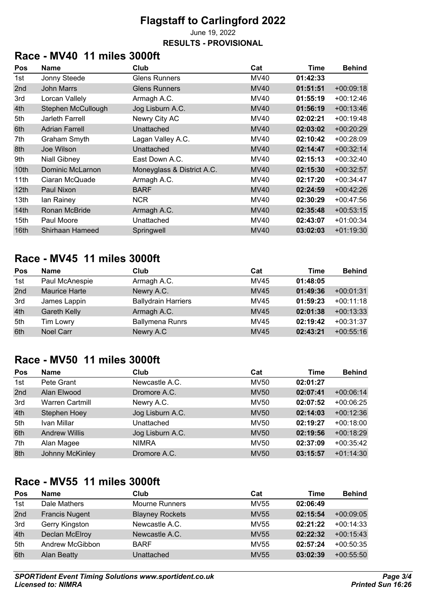June 19, 2022

#### **RESULTS - PROVISIONAL**

## **Race - MV40 11 miles 3000ft**

| <b>Pos</b>       | <b>Name</b>           | Club                       | Cat         | Time     | <b>Behind</b> |
|------------------|-----------------------|----------------------------|-------------|----------|---------------|
| 1st              | Jonny Steede          | <b>Glens Runners</b>       | MV40        | 01:42:33 |               |
| 2nd              | <b>John Marrs</b>     | <b>Glens Runners</b>       | <b>MV40</b> | 01:51:51 | $+00:09:18$   |
| 3rd              | Lorcan Vallely        | Armagh A.C.                | <b>MV40</b> | 01:55:19 | $+00:12:46$   |
| 4th              | Stephen McCullough    | Jog Lisburn A.C.           | MV40        | 01:56:19 | $+00:13:46$   |
| 5th              | Jarleth Farrell       | Newry City AC              | MV40        | 02:02:21 | $+00:19:48$   |
| 6th              | <b>Adrian Farrell</b> | Unattached                 | <b>MV40</b> | 02:03:02 | $+00:20:29$   |
| 7th              | Graham Smyth          | Lagan Valley A.C.          | MV40        | 02:10:42 | $+00:28:09$   |
| 8th              | Joe Wilson            | Unattached                 | <b>MV40</b> | 02:14:47 | $+00:32:14$   |
| 9th              | <b>Niall Gibney</b>   | East Down A.C.             | MV40        | 02:15:13 | $+00:32:40$   |
| 10th             | Dominic McLarnon      | Moneyglass & District A.C. | <b>MV40</b> | 02:15:30 | $+00:32:57$   |
| 11th             | Ciaran McQuade        | Armagh A.C.                | MV40        | 02:17:20 | $+00:34:47$   |
| 12 <sub>th</sub> | Paul Nixon            | <b>BARF</b>                | <b>MV40</b> | 02:24:59 | $+00:42:26$   |
| 13th             | lan Rainey            | <b>NCR</b>                 | <b>MV40</b> | 02:30:29 | $+00:47:56$   |
| 14 <sub>th</sub> | Ronan McBride         | Armagh A.C.                | <b>MV40</b> | 02:35:48 | $+00:53:15$   |
| 15th             | Paul Moore            | Unattached                 | MV40        | 02:43:07 | $+01:00:34$   |
| 16 <sub>th</sub> | Shirhaan Hameed       | Springwell                 | <b>MV40</b> | 03:02:03 | $+01:19:30$   |

#### **Race - MV45 11 miles 3000ft**

| Pos | <b>Name</b>          | Club                       | Cat         | Time     | <b>Behind</b> |
|-----|----------------------|----------------------------|-------------|----------|---------------|
| 1st | Paul McAnespie       | Armagh A.C.                | <b>MV45</b> | 01:48:05 |               |
| 2nd | <b>Maurice Harte</b> | Newry A.C.                 | <b>MV45</b> | 01:49:36 | $+00:01:31$   |
| 3rd | James Lappin         | <b>Ballydrain Harriers</b> | MV45        | 01:59:23 | $+00:11:18$   |
| 4th | <b>Gareth Kelly</b>  | Armagh A.C.                | <b>MV45</b> | 02:01:38 | $+00:13:33$   |
| 5th | Tim Lowry            | <b>Ballymena Runrs</b>     | MV45        | 02:19:42 | $+00:31:37$   |
| 6th | <b>Noel Carr</b>     | Newry A.C                  | <b>MV45</b> | 02:43:21 | $+00:55:16$   |

## **Race - MV50 11 miles 3000ft**

| Pos | <b>Name</b>            | Club             | Cat         | Time     | <b>Behind</b> |
|-----|------------------------|------------------|-------------|----------|---------------|
| 1st | Pete Grant             | Newcastle A.C.   | <b>MV50</b> | 02:01:27 |               |
| 2nd | Alan Elwood            | Dromore A.C.     | <b>MV50</b> | 02:07:41 | $+00:06:14$   |
| 3rd | <b>Warren Cartmill</b> | Newry A.C.       | <b>MV50</b> | 02:07:52 | $+00:06:25$   |
| 4th | Stephen Hoey           | Jog Lisburn A.C. | <b>MV50</b> | 02:14:03 | $+00:12:36$   |
| 5th | Ivan Millar            | Unattached       | <b>MV50</b> | 02:19:27 | $+00:18:00$   |
| 6th | <b>Andrew Willis</b>   | Jog Lisburn A.C. | <b>MV50</b> | 02:19:56 | $+00:18:29$   |
| 7th | Alan Magee             | <b>NIMRA</b>     | <b>MV50</b> | 02:37:09 | $+00:35:42$   |
| 8th | Johnny McKinley        | Dromore A.C.     | <b>MV50</b> | 03:15:57 | $+01:14:30$   |

### **Race - MV55 11 miles 3000ft**

| Pos | <b>Name</b>           | Club                   | Cat         | Time     | <b>Behind</b> |
|-----|-----------------------|------------------------|-------------|----------|---------------|
| 1st | Dale Mathers          | <b>Mourne Runners</b>  | <b>MV55</b> | 02:06:49 |               |
| 2nd | <b>Francis Nugent</b> | <b>Blayney Rockets</b> | <b>MV55</b> | 02:15:54 | $+00:09:05$   |
| 3rd | Gerry Kingston        | Newcastle A.C.         | <b>MV55</b> | 02:21:22 | $+00:14:33$   |
| 4th | Declan McElroy        | Newcastle A.C.         | <b>MV55</b> | 02:22:32 | $+00:15:43$   |
| 5th | Andrew McGibbon       | <b>BARF</b>            | <b>MV55</b> | 02:57:24 | $+00:50:35$   |
| 6th | <b>Alan Beatty</b>    | Unattached             | <b>MV55</b> | 03:02:39 | $+00:55:50$   |